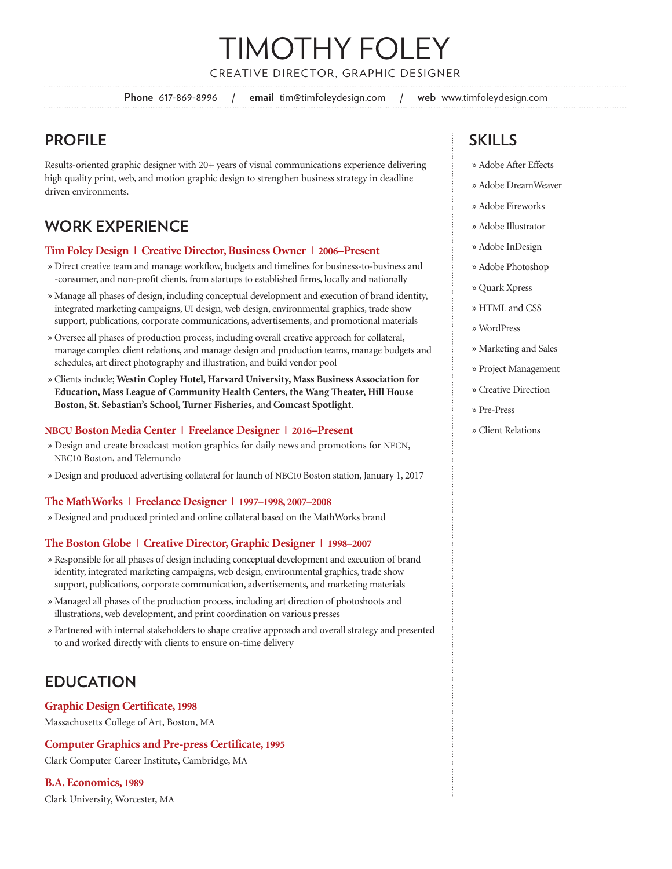## TIMOTHY FOLEY CREATIVE DIRECTOR, GRAPHIC DESIGNER

**Phone** 617-869-8996 / **email** tim@timfoleydesign.com / **web** www.timfoleydesign.com

## **PROFILE**

Results-oriented graphic designer with 20+ years of visual communications experience delivering high quality print, web, and motion graphic design to strengthen business strategy in deadline driven environments.

## **WORK EXPERIENCE**

## **Tim Foley Design | Creative Director, Business Owner | 2006–Present**

- » Direct creative team and manage workflow, budgets and timelines for business-to-business and -consumer, and non-profit clients, from startups to established firms, locally and nationally
- » Manage all phases of design, including conceptual development and execution of brand identity, integrated marketing campaigns, UI design, web design, environmental graphics, trade show support, publications, corporate communications, advertisements, and promotional materials
- » Oversee all phases of production process, including overall creative approach for collateral, manage complex client relations, and manage design and production teams, manage budgets and schedules, art direct photography and illustration, and build vendor pool
- » Clients include; **Westin Copley Hotel, Harvard University, Mass Business Association for Education, Mass League of Community Health Centers, the Wang Theater, Hill House Boston, St. Sebastian's School, Turner Fisheries,** and **Comcast Spotlight**.

#### **NBCU Boston Media Center | Freelance Designer | 2016–Present**

- » Design and create broadcast motion graphics for daily news and promotions for NECN, NBC10 Boston, and Telemundo
- » Design and produced advertising collateral for launch of NBC10 Boston station, January 1, 2017

#### **The MathWorks | Freelance Designer | 1997–1998, 2007–2008**

» Designed and produced printed and online collateral based on the MathWorks brand

#### **The Boston Globe | Creative Director, Graphic Designer | 1998–2007**

- » Responsible for all phases of design including conceptual development and execution of brand identity, integrated marketing campaigns, web design, environmental graphics, trade show support, publications, corporate communication, advertisements, and marketing materials
- » Managed all phases of the production process, including art direction of photoshoots and illustrations, web development, and print coordination on various presses
- » Partnered with internal stakeholders to shape creative approach and overall strategy and presented to and worked directly with clients to ensure on-time delivery

## **EDUCATION**

#### **Graphic Design Certificate, 1998**

Massachusetts College of Art, Boston, MA

## **Computer Graphics and Pre-press Certificate, 1995**

Clark Computer Career Institute, Cambridge, MA

#### **B.A. Economics, 1989**

Clark University, Worcester, MA

## **SKILLS**

- » Adobe After Effects
- » Adobe DreamWeaver
- » Adobe Fireworks
- » Adobe Illustrator
- » Adobe InDesign
- » Adobe Photoshop
- » Quark Xpress
- » HTML and CSS
- » WordPress
- » Marketing and Sales
- » Project Management
- » Creative Direction
- » Pre-Press
- » Client Relations